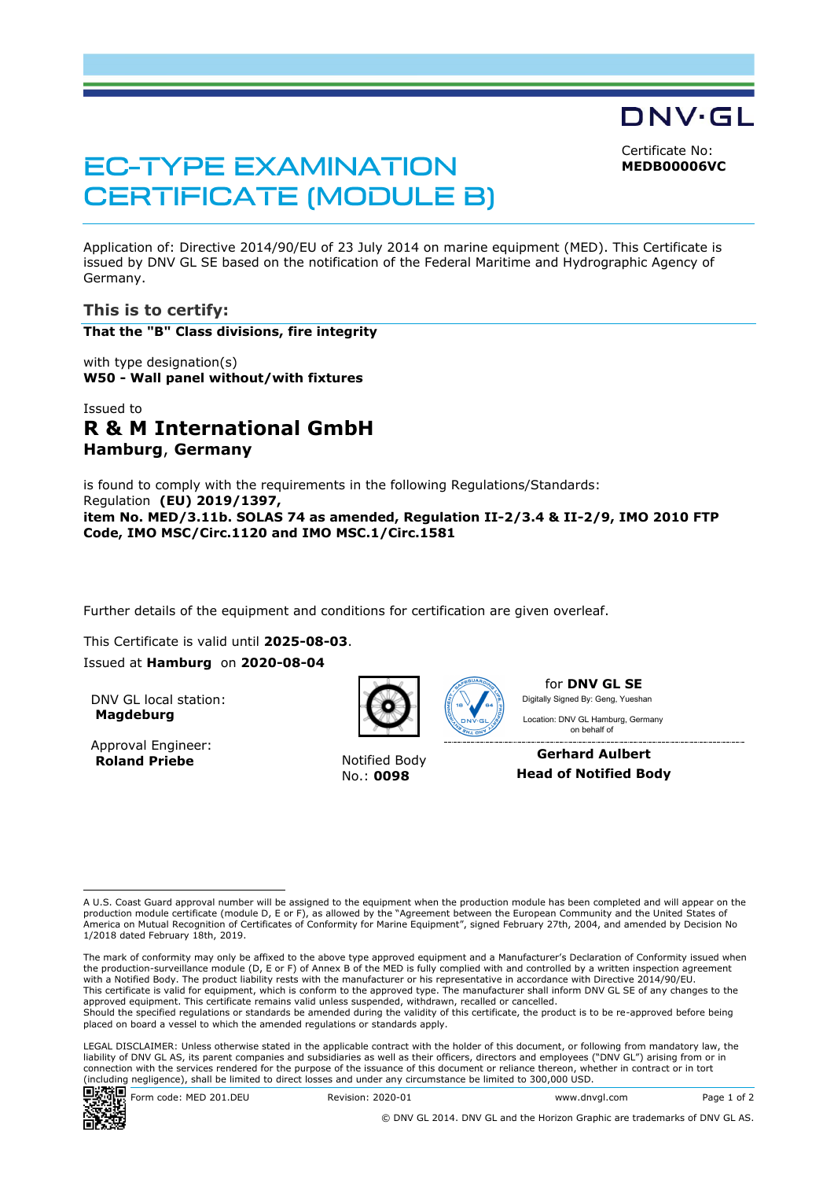DNV·GL Certificate No:

**MEDB00006VC**

# **EC-TYPE EXAMINATION CERTIFICATE (MODULE B)**

Application of: Directive 2014/90/EU of 23 July 2014 on marine equipment (MED). This Certificate is issued by DNV GL SE based on the notification of the Federal Maritime and Hydrographic Agency of Germany.

# **This is to certify:**

**That the "B" Class divisions, fire integrity**

with type designation(s) **W50 - Wall panel without/with fixtures**

# Issued to **R & M International GmbH Hamburg**, **Germany**

is found to comply with the requirements in the following Regulations/Standards: Regulation **(EU) 2019/1397, item No. MED/3.11b. SOLAS 74 as amended, Regulation II-2/3.4 & II-2/9, IMO 2010 FTP Code, IMO MSC/Circ.1120 and IMO MSC.1/Circ.1581**

Further details of the equipment and conditions for certification are given overleaf.

This Certificate is valid until **2025-08-03**.

Issued at **Hamburg** on **2020-08-04**

DNV GL local station: **Magdeburg**

Approval Engineer: **Roland Priebe** Notified Body



No.: **0098**



for **DNV GL SE** Digitally Signed By: Geng, Yueshan

 on behalf ofLocation: DNV GL Hamburg, Germany

**Gerhard Aulbert Head of Notified Body**

LEGAL DISCLAIMER: Unless otherwise stated in the applicable contract with the holder of this document, or following from mandatory law, the liability of DNV GL AS, its parent companies and subsidiaries as well as their officers, directors and employees ("DNV GL") arising from or in connection with the services rendered for the purpose of the issuance of this document or reliance thereon, whether in contract or in tort (including negligence), shall be limited to direct losses and under any circumstance be limited to 300,000 USD.



A U.S. Coast Guard approval number will be assigned to the equipment when the production module has been completed and will appear on the production module certificate (module D, E or F), as allowed by the "Agreement between the European Community and the United States of America on Mutual Recognition of Certificates of Conformity for Marine Equipment", signed February 27th, 2004, and amended by Decision No 1/2018 dated February 18th, 2019.

The mark of conformity may only be affixed to the above type approved equipment and a Manufacturer's Declaration of Conformity issued when<br>the production-surveillance module (D, E or F) of Annex B of the MED is fully compl with a Notified Body. The product liability rests with the manufacturer or his representative in accordance with Directive 2014/90/EU. This certificate is valid for equipment, which is conform to the approved type. The manufacturer shall inform DNV GL SE of any changes to the approved equipment. This certificate remains valid unless suspended, withdrawn, recalled or cancelled. Should the specified regulations or standards be amended during the validity of this certificate, the product is to be re-approved before being placed on board a vessel to which the amended regulations or standards apply.